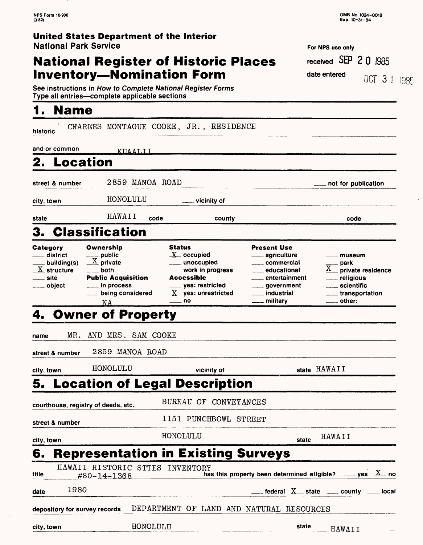### **National Register of Historic Places Inventory-Nomination Form**

For NFS use only received SEP 2 Q 1985 date entered OCT 3 | 1985

See instructions in How to Complete National Register Forms Type all entries—complete applicable sections

#### **1. Name**

| t,<br>historic                                                                                                     |                                                                                                                                       | CHARLES MONTAGUE COOKE, JR., RESIDENCE                                                                                                                     |                                                                                                                                                    |                                                                                                                                  |
|--------------------------------------------------------------------------------------------------------------------|---------------------------------------------------------------------------------------------------------------------------------------|------------------------------------------------------------------------------------------------------------------------------------------------------------|----------------------------------------------------------------------------------------------------------------------------------------------------|----------------------------------------------------------------------------------------------------------------------------------|
| and/or common                                                                                                      | <u>KIIAALI L</u>                                                                                                                      |                                                                                                                                                            |                                                                                                                                                    |                                                                                                                                  |
| Location<br>2.                                                                                                     |                                                                                                                                       |                                                                                                                                                            |                                                                                                                                                    |                                                                                                                                  |
| street & number                                                                                                    | 2859 MANOA ROAD                                                                                                                       |                                                                                                                                                            |                                                                                                                                                    | not for publication                                                                                                              |
| city, town                                                                                                         | HONOLULU                                                                                                                              | $\_$ vicinity of                                                                                                                                           |                                                                                                                                                    |                                                                                                                                  |
| state                                                                                                              | HAWAII                                                                                                                                | code<br>county                                                                                                                                             |                                                                                                                                                    | code                                                                                                                             |
| З.                                                                                                                 | <b>Classification</b>                                                                                                                 |                                                                                                                                                            |                                                                                                                                                    |                                                                                                                                  |
| Category<br>$\_$ district<br>__ building(s)<br>$\underline{\text{X}}$ structure<br><sub>—</sub> site<br>___ object | Ownership<br>$\frac{1}{\sqrt{X}}$ public<br><u>_</u> __ both<br><b>Public Acquisition</b><br>___ in process<br>being considered<br>NA | <b>Status</b><br>$X$ occupied<br>____ unoccupied<br>___ work in progress<br><b>Accessible</b><br>_____ yes: restricted<br>$X$ yes: unrestricted<br>____ no | <b>Present Use</b><br>agriculture<br>____ commercial<br>____ educational<br>entertainment<br>____ government<br><u>__</u> _ industrial<br>military | __ museum<br><sub>–</sub> park<br>private residence<br><u>_</u> __ religious<br>____ scientific<br>____ transportation<br>other: |
|                                                                                                                    | <b>4. Owner of Property</b>                                                                                                           |                                                                                                                                                            |                                                                                                                                                    |                                                                                                                                  |
| MR.<br>name                                                                                                        | AND MRS. SAM COOKE                                                                                                                    |                                                                                                                                                            |                                                                                                                                                    |                                                                                                                                  |
| street & number                                                                                                    | 2859 MANOA ROAD                                                                                                                       |                                                                                                                                                            |                                                                                                                                                    |                                                                                                                                  |
| city, town                                                                                                         | HONOLULU                                                                                                                              | vicinity of                                                                                                                                                |                                                                                                                                                    | state HAWAII                                                                                                                     |
| 5.                                                                                                                 |                                                                                                                                       | <b>Location of Legal Description</b>                                                                                                                       |                                                                                                                                                    |                                                                                                                                  |
|                                                                                                                    | courthouse, registry of deeds, etc.                                                                                                   | <b>BUREAU OF</b>                                                                                                                                           | <b>CONVEYANCES</b>                                                                                                                                 |                                                                                                                                  |
| street & number                                                                                                    |                                                                                                                                       | 1151 PUNCHBOWL STREET                                                                                                                                      |                                                                                                                                                    |                                                                                                                                  |
| city, town                                                                                                         |                                                                                                                                       | HONOLULU                                                                                                                                                   | state                                                                                                                                              | HAWAII                                                                                                                           |
| 6.                                                                                                                 |                                                                                                                                       | <b>Representation in Existing Surveys</b>                                                                                                                  |                                                                                                                                                    |                                                                                                                                  |
| title                                                                                                              | HAWAII HISTORIC STTES INVENTORY<br>#80-14-1368                                                                                        |                                                                                                                                                            | has this property been determined eligible?                                                                                                        | $\rule{1em}{0.15mm}$ yes $\Delta$ no                                                                                             |
| 1980<br>date                                                                                                       |                                                                                                                                       |                                                                                                                                                            |                                                                                                                                                    | federal $X$ state $\sim$ county $\sim$<br><sub>–</sub> local                                                                     |
| depository for survey records                                                                                      |                                                                                                                                       | DEPARTMENT OF LAND AND NATURAL RESOURCES                                                                                                                   |                                                                                                                                                    |                                                                                                                                  |
| city, town                                                                                                         | HONOLULU                                                                                                                              |                                                                                                                                                            | state                                                                                                                                              | HAWAII                                                                                                                           |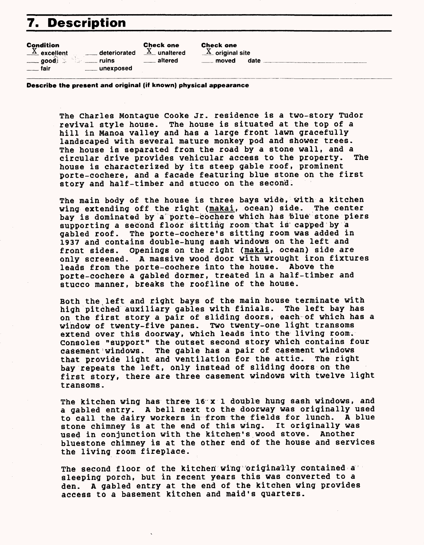## 7. Description

| <b>Condition</b><br>$\overline{X}$ excellent | <b>Check one</b><br>____ deteriorated | <b>Check one</b><br>$X$ unaltered<br>$X$ original site |      |
|----------------------------------------------|---------------------------------------|--------------------------------------------------------|------|
| $\equiv$ good                                | ruins                                 | altered                                                | date |
| fair                                         | unexposed                             | moved                                                  |      |

**Describe the present and original (if known) physical appearance**

The Charles Montague Cooke Jr. residence is a two-story Tudor revival style house. The house is situated at the top of a hill in Manoa valley and has a large front lawn gracefully landscaped with several mature monkey pod and shower trees. The house is separated from the road by a stone wall, and a<br>circular drive provides vehicular access to the property. The circular drive provides vehicular access to the property. house is characterized by its steep gable roof, prominent porte-cochere, and a facade featuring blue stone on the first story and half-timber and stucco on the second.

The main body of the house is three bays wide, with a kitchen wing extending off the right (makai, ocean) side. The center bay is dominated by a porte-cochere which has blue stone piers supporting a second floor sitting room that is capped by a gabled roof. The porte-cochere's sitting room was added in 1937 and contains double-hung sash windows on the left and front sides. Openings on the right (makai, ocean) side are only screened. A massive wood door with wrought iron fixtures leads from the porte-cochere into the house. Above the porte-cochere a gabled dormer, treated in a half-timber and stucco manner, breaks the roofline of the house.

Both the left and right bays of the main house terminate with high pitched auxiliary gables with finials. The left bay has on the first story a pair of sliding doors, each of which has a window of twenty-five panes. Two twenty-one light transoms extend over this doorway, which leads into the living room. Consoles "support" the outset second story which contains four casement windows. The gable has a pair of casement windows that provide light and ventilation for the attic. The right bay repeats the left, only instead of sliding doors on the first story, there are three casement windows with twelve light transoms.

The kitchen wing has three 16 x 1 double hung sash windows, and a gabled entry. A bell next to the doorway was originally used to call the dairy workers in from the fields for lunch. A blue stone chimney is at the end of this wing. It originally was used in conjunction with the kitchen's wood stove. Another bluestone chimney is at the other end of the house and services the living room fireplace.

The second floor of the kitchen wing originally contained a sleeping porch, but in recent years this was converted to a den. A gabled entry at the end of the kitchen wing provides access to a basement kitchen and maid's quarters.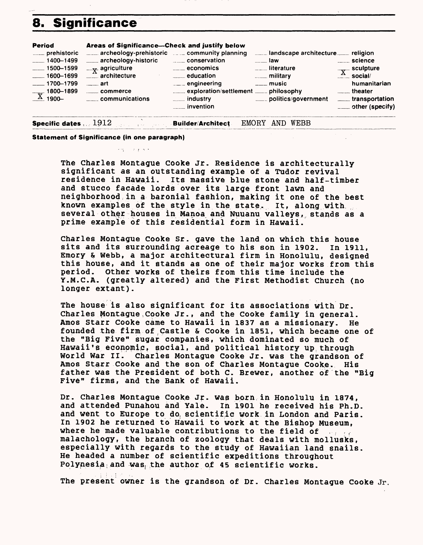# **8. Significance**



とない コリティー

**Statement of Significance (in one paragraph)**

The Charles Montague Cooke Jr. Residence is architecturally significant as an outstanding example of a Tudor revival residence in Hawaii. Its massive blue stone and half-timber and stucco facade lords over its large front lawn and neighborhood in a baronial fashion, making it one of the best known examples of the style in the state. It, along with several other houses in Manoa and Nuuanu valleys, stands as a prime example of this residential form in Hawaii.

Charles Montague Cooke Sr. gave the land on which this house sits and its surrounding acreage to his son in 1902. In 1911, Emory & Webb, a major architectural firm in Honolulu, designed this house, and it stands as one of their major works from this period. Other works of theirs from this time include the Y.M.C.A. (greatly altered) and the First Methodist Church (no longer extant).

The house is also significant for its associations with Dr. Charles Montague,Cooke Jr., and the Cooke family in general. Amos Starr Cooke came to Hawaii in 1837 as a missionary. He founded the firm of Castle & Cooke in 1851, which became one of the "Big Five" sugar companies, which dominated so much of Hawaii's economic, social, and political history up,through World War II. Charles Montague Cooke Jr. was the grandson of Amos Starr Cooke and the son of Charles Montague Cooke. His father was the President of both C. Brewer, another of the "Big Five" firms, and the Bank of Hawaii.

Dr. Charles Montague Cooke Jr. was born in Honolulu in 1874, and attended Punahou and Yale. In 1901 he received his Ph.D. and went to Europe to do, scientific work in London and Paris. In 1902 he returned to Hawaii to work at the Bishop Museum, where he made valuable contributions to the field of  $\mathbb{R}^n$ ,  $\mathbb{R}^n$ malachology, the branch of zoology that deals with mollusks, especially with regards to the study of Hawaiian land snails. He headed a number of scientific expeditions throughout Polynesia and was, the author of 45 scientific works.

The present owner is the grandson of Dr. Charles Montague Cooke Jr.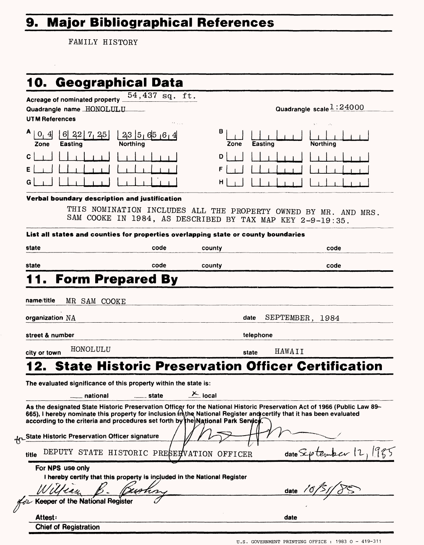# **9. Major Bibliographical References**

FAMILY HISTORY

|                                                                                                                                                                                                                                                                            | 54,437 sq. ft.       |                 |                                                                                                                              |  |
|----------------------------------------------------------------------------------------------------------------------------------------------------------------------------------------------------------------------------------------------------------------------------|----------------------|-----------------|------------------------------------------------------------------------------------------------------------------------------|--|
| Quadrangle name HONOLULU                                                                                                                                                                                                                                                   |                      |                 | Quadrangle scale $1:24000$                                                                                                   |  |
| UTM References                                                                                                                                                                                                                                                             |                      |                 |                                                                                                                              |  |
| A<br>$\mathbf{0}_{1}$<br>6 $\begin{bmatrix} 22 \\ 7 \\ 25 \end{bmatrix}$<br>$\vert 4 \vert$<br>Northing<br>Easting<br>Zone                                                                                                                                                 | 23 5 65 6 4          | в<br>Zone       | <b>Easting</b><br><b>Northing</b>                                                                                            |  |
| С                                                                                                                                                                                                                                                                          |                      | D               |                                                                                                                              |  |
| Е                                                                                                                                                                                                                                                                          |                      | F               |                                                                                                                              |  |
| G                                                                                                                                                                                                                                                                          |                      | н               |                                                                                                                              |  |
| Verbal boundary description and justification                                                                                                                                                                                                                              |                      |                 |                                                                                                                              |  |
|                                                                                                                                                                                                                                                                            |                      |                 | THIS NOMINATION INCLUDES ALL THE PROPERTY OWNED BY MR. AND MRS.<br>SAM COOKE IN 1984, AS DESCRIBED BY TAX MAP KEY 2-9-19:35. |  |
| List all states and counties for properties overlapping state or county boundaries                                                                                                                                                                                         |                      |                 |                                                                                                                              |  |
| state                                                                                                                                                                                                                                                                      | code                 | county          | code                                                                                                                         |  |
| state                                                                                                                                                                                                                                                                      | code                 | county          | code                                                                                                                         |  |
| <b>Form Prepared By</b>                                                                                                                                                                                                                                                    |                      |                 |                                                                                                                              |  |
| organization NA                                                                                                                                                                                                                                                            |                      | date            | SEPTEMBER, 1984                                                                                                              |  |
| street & number                                                                                                                                                                                                                                                            |                      | telephone       |                                                                                                                              |  |
| HONOLULU<br>city or town                                                                                                                                                                                                                                                   |                      | HAWAII<br>state |                                                                                                                              |  |
|                                                                                                                                                                                                                                                                            |                      |                 | 2. State Historic Preservation Officer Certification                                                                         |  |
|                                                                                                                                                                                                                                                                            |                      |                 |                                                                                                                              |  |
|                                                                                                                                                                                                                                                                            |                      |                 |                                                                                                                              |  |
| national                                                                                                                                                                                                                                                                   | <sub>-</sub> __state | $\times$ local  |                                                                                                                              |  |
|                                                                                                                                                                                                                                                                            |                      |                 | As the designated State Historic Preservation Officer for the National Historic Preservation Act of 1966 (Public Law 89-     |  |
| The evaluated significance of this property within the state is:<br>665), I hereby nominate this property for inclusion mithe National Register and certify that it has been evaluated<br>according to the criteria and procedures set forth by the National Park Service. |                      |                 |                                                                                                                              |  |
|                                                                                                                                                                                                                                                                            |                      |                 |                                                                                                                              |  |
| Hr State Historic Preservation Officer signature                                                                                                                                                                                                                           |                      |                 |                                                                                                                              |  |
| DEPUTY STATE HISTORIC PRESERVATION OFFICER<br>title                                                                                                                                                                                                                        |                      |                 | bar 12<br>$_{\text{date}}$ $\mathcal{L}\nu$ $_{\text{ten}}$                                                                  |  |
| For NPS use only                                                                                                                                                                                                                                                           |                      |                 |                                                                                                                              |  |
| I hereby certify that this property is included in the National Register                                                                                                                                                                                                   |                      |                 |                                                                                                                              |  |
| <b>Keeper of the National Register</b>                                                                                                                                                                                                                                     |                      |                 | date $\sqrt{O}$                                                                                                              |  |
| Attest:                                                                                                                                                                                                                                                                    |                      |                 | 1985<br>date                                                                                                                 |  |